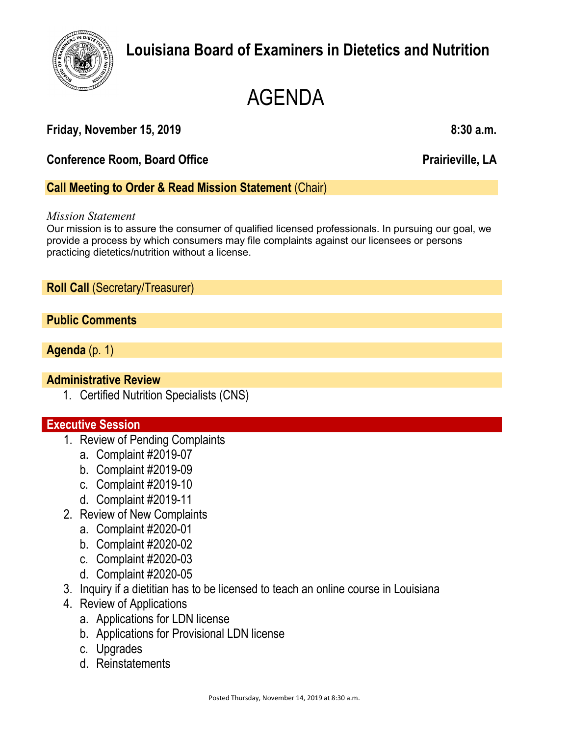- - a. Applications for LDN license
	- b. Applications for Provisional LDN license
	- c. Upgrades
	- d. Reinstatements

# AGENDA

## **Friday, November 15, 2019 8:30 a.m.**

**Conference Room, Board Office**  Prairieville, LA

**Call Meeting to Order & Read Mission Statement** (Chair)

#### *Mission Statement*

Our mission is to assure the consumer of qualified licensed professionals. In pursuing our goal, we provide a process by which consumers may file complaints against our licensees or persons practicing dietetics/nutrition without a license.

**Roll Call** (Secretary/Treasurer)

#### **Public Comments**

**Agenda** (p. 1)

#### **Administrative Review**

1. Certified Nutrition Specialists (CNS)

#### **Executive Session**

- 1. Review of Pending Complaints
	- a. Complaint #2019-07
	- b. Complaint #2019-09
	- c. Complaint #2019-10
	- d. Complaint #2019-11
- 2. Review of New Complaints
	- a. Complaint #2020-01
	- b. Complaint #2020-02
	- c. Complaint #2020-03
	- d. Complaint #2020-05
- -
- -
	- -
		-
		-
		-
	- 3. Inquiry if a dietitian has to be licensed to teach an online course in Louisiana
	- 4. Review of Applications
	-
- -
	-
	-
	-
	-
	-
	-
	-
	-